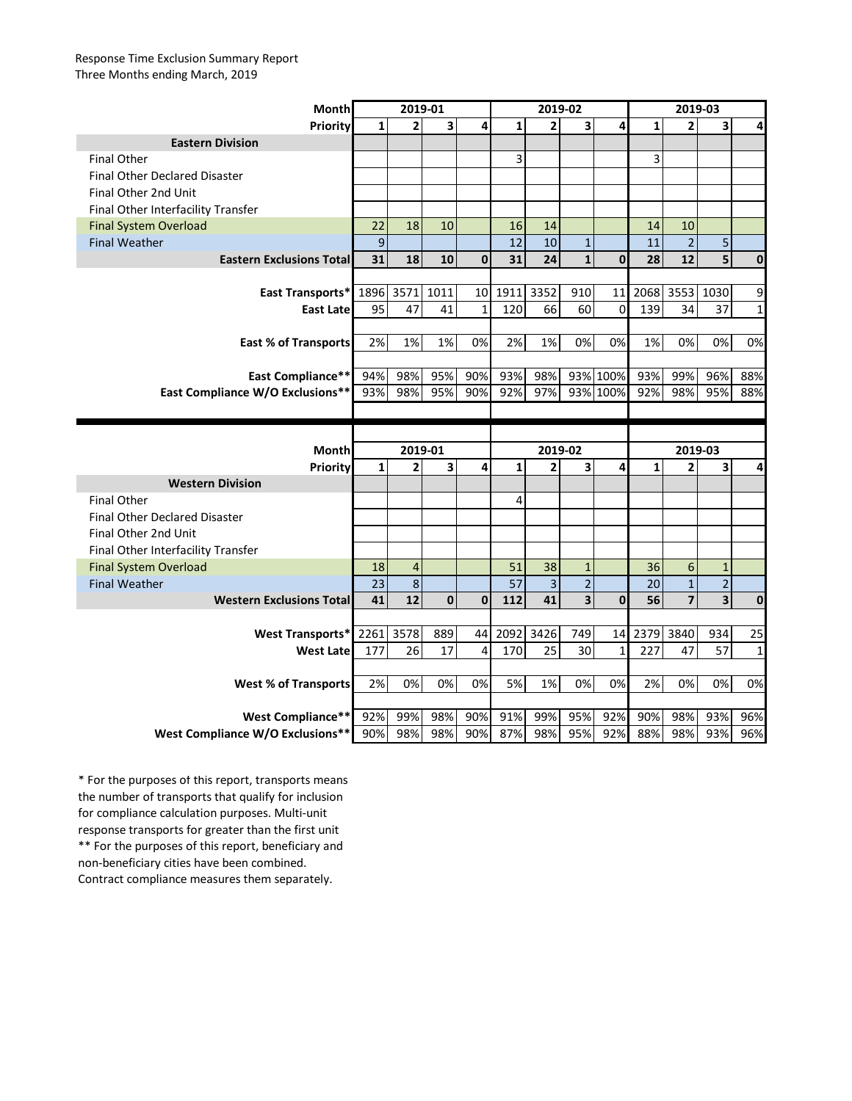## Response Time Exclusion Summary Report Three Months ending March, 2019

| <b>Month</b>                                                 | 2019-01        |                         |            |              | 2019-02      |                |                         |              | 2019-03      |                         |                         |              |
|--------------------------------------------------------------|----------------|-------------------------|------------|--------------|--------------|----------------|-------------------------|--------------|--------------|-------------------------|-------------------------|--------------|
| Priority                                                     | $\mathbf{1}$   | $\overline{2}$          | 3          | 4            | $\mathbf{1}$ | $\overline{2}$ | 3                       | 4            | $\mathbf{1}$ | $\overline{2}$          | 3                       | 4            |
| <b>Eastern Division</b>                                      |                |                         |            |              |              |                |                         |              |              |                         |                         |              |
| <b>Final Other</b>                                           |                |                         |            |              | 3            |                |                         |              | 3            |                         |                         |              |
| <b>Final Other Declared Disaster</b>                         |                |                         |            |              |              |                |                         |              |              |                         |                         |              |
| Final Other 2nd Unit                                         |                |                         |            |              |              |                |                         |              |              |                         |                         |              |
| Final Other Interfacility Transfer                           |                |                         |            |              |              |                |                         |              |              |                         |                         |              |
| <b>Final System Overload</b>                                 | 22             | 18                      | 10         |              | 16           | 14             |                         |              | 14           | 10                      |                         |              |
| <b>Final Weather</b>                                         | $\overline{9}$ |                         |            |              | 12           | 10             | $\mathbf 1$             |              | 11           | $\overline{2}$          | 5                       |              |
| <b>Eastern Exclusions Total</b>                              | 31             | 18                      | 10         | $\mathbf 0$  | 31           | 24             | $\mathbf 1$             | $\mathbf{0}$ | 28           | 12                      | $\overline{5}$          | $\mathbf 0$  |
|                                                              |                |                         |            |              |              |                |                         |              |              |                         |                         |              |
| East Transports*                                             | 1896           | 3571                    | 1011       | 10           | 1911         | 3352           | 910                     | 11           | 2068         | 3553                    | 1030                    | 9            |
| <b>East Late</b>                                             | 95             | 47                      | 41         | $\mathbf{1}$ | 120          | 66             | 60                      | 0            | 139          | 34                      | 37                      | $\mathbf{1}$ |
|                                                              |                |                         |            |              |              |                |                         |              |              |                         |                         |              |
| <b>East % of Transports</b>                                  | 2%             | 1%                      | 1%         | 0%           | 2%           | 1%             | 0%                      | 0%           | 1%           | 0%                      | 0%                      | 0%           |
|                                                              |                |                         |            |              |              |                |                         |              |              |                         |                         |              |
| East Compliance**                                            | 94%            | 98%                     | 95%        | 90%          | 93%          | 98%            |                         | 93% 100%     | 93%          | 99%                     | 96%                     | 88%          |
| East Compliance W/O Exclusions**                             | 93%            | 98%                     | 95%        | 90%          | 92%          | 97%            |                         | 93% 100%     | 92%          | 98%                     | 95%                     | 88%          |
|                                                              |                |                         |            |              |              |                |                         |              |              |                         |                         |              |
|                                                              |                |                         |            |              |              |                |                         |              |              |                         |                         |              |
|                                                              |                |                         |            |              |              |                |                         |              |              |                         |                         |              |
| Month                                                        |                | 2019-01                 |            |              |              | 2019-02        |                         |              |              | 2019-03                 |                         |              |
| Priority                                                     | $\mathbf{1}$   | $\overline{\mathbf{c}}$ | 3          | 4            | $\mathbf{1}$ | $\overline{2}$ | $\overline{\mathbf{3}}$ | 4            | $\mathbf{1}$ | $\overline{2}$          | 3                       | 4            |
| <b>Western Division</b>                                      |                |                         |            |              |              |                |                         |              |              |                         |                         |              |
| <b>Final Other</b>                                           |                |                         |            |              | 4            |                |                         |              |              |                         |                         |              |
| <b>Final Other Declared Disaster</b>                         |                |                         |            |              |              |                |                         |              |              |                         |                         |              |
| Final Other 2nd Unit                                         |                |                         |            |              |              |                |                         |              |              |                         |                         |              |
| Final Other Interfacility Transfer                           |                |                         |            |              |              |                |                         |              |              |                         |                         |              |
| <b>Final System Overload</b>                                 | 18             | $\overline{4}$          |            |              | 51           | 38             | $\mathbf{1}$            |              | 36           | 6                       | $\mathbf{1}$            |              |
| <b>Final Weather</b>                                         | 23             | $\boldsymbol{8}$        |            |              | 57           | 3              | $\overline{2}$          |              | 20           | $\mathbf{1}$            | $\overline{a}$          |              |
| <b>Western Exclusions Total</b>                              | 41             | 12                      | $\pmb{0}$  | $\mathbf 0$  | 112          | 41             | $\overline{\mathbf{3}}$ | $\mathbf 0$  | 56           | $\overline{\mathbf{z}}$ | $\overline{\mathbf{3}}$ | $\mathbf{0}$ |
|                                                              |                |                         |            |              |              |                |                         |              |              |                         |                         |              |
| West Transports*                                             | 2261           | 3578                    | 889        | 44           | 2092         | 3426           | 749                     | 14           | 2379         | 3840                    | 934                     | 25           |
| <b>West Late</b>                                             | 177            | 26                      | 17         | 4            | 170          | 25             | 30                      | 1            | 227          | 47                      | 57                      | $\mathbf{1}$ |
|                                                              |                |                         |            |              |              |                |                         |              |              |                         |                         |              |
| <b>West % of Transports</b>                                  | 2%             | 0%                      | 0%         | 0%           | 5%           | 1%             | 0%                      | 0%           | 2%           | 0%                      | 0%                      | 0%           |
|                                                              |                |                         |            |              |              |                |                         |              |              |                         |                         |              |
| <b>West Compliance**</b><br>West Compliance W/O Exclusions** | 92%<br>90%     | 99%<br>98%              | 98%<br>98% | 90%          | 91%<br>87%   | 99%<br>98%     | 95%<br>95%              | 92%<br>92%   | 90%<br>88%   | 98%<br>98%              | 93%<br>93%              | 96%          |

\*\* For the purposes of this report, beneficiary and non-beneficiary cities have been combined. Contract compliance measures them separately. \* For the purposes of this report, transports means the number of transports that qualify for inclusion for compliance calculation purposes. Multi-unit response transports for greater than the first unit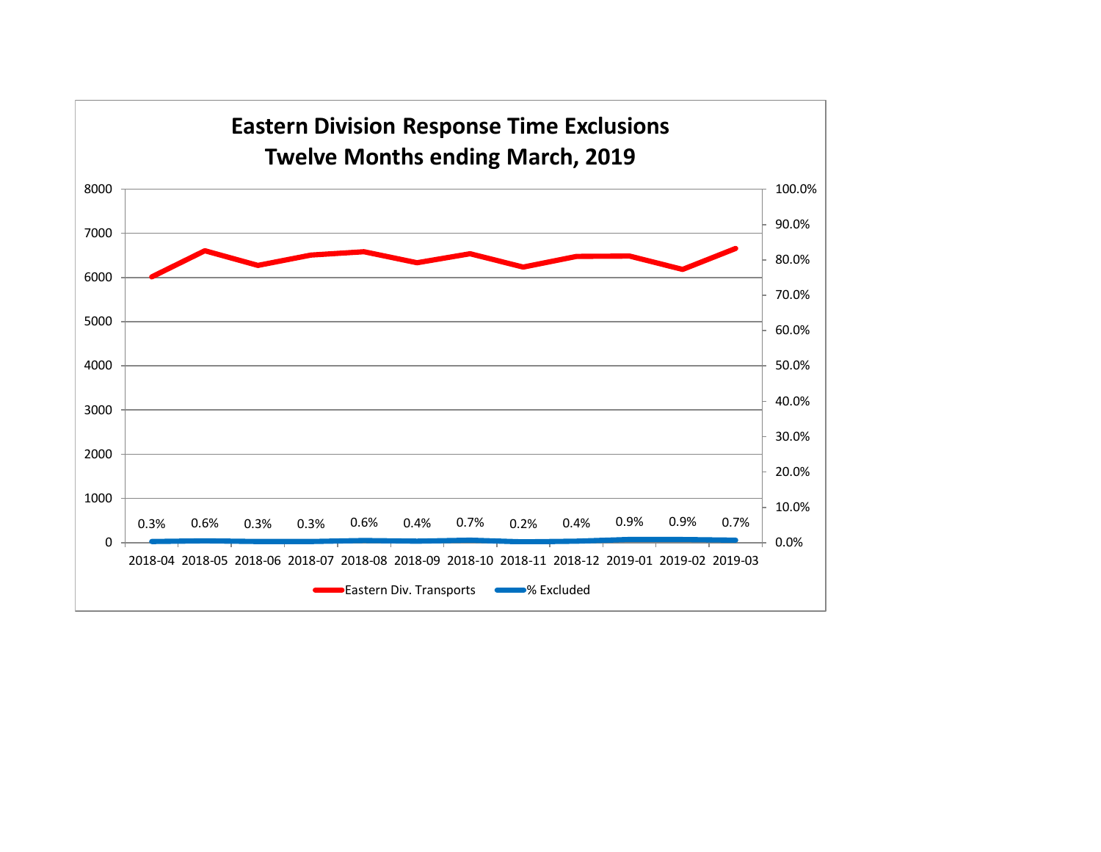